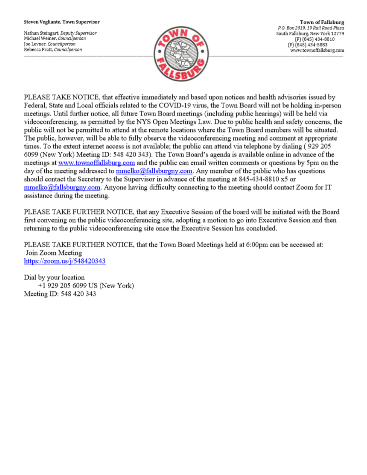#### Steven Vegliante, Town Supervisor

Nathan Steingart, Deputy Supervisor Michael Weiner, Councilperson Joe Levner, Councilperson Rebecca Pratt, Councilperson



**Town of Fallsburg** P.O. Box 2019, 19 Rail Road Plaza South Fallsburg, New York 12779 (P) (845) 434-8810 (F) (845) 434-5883 www.townoffallsburg.com

PLEASE TAKE NOTICE, that effective immediately and based upon notices and health advisories issued by Federal, State and Local officials related to the COVID-19 virus, the Town Board will not be holding in-person meetings. Until further notice, all future Town Board meetings (including public hearings) will be held via videoconferencing, as permitted by the NYS Open Meetings Law. Due to public health and safety concerns, the public will not be permitted to attend at the remote locations where the Town Board members will be situated. The public, however, will be able to fully observe the videoconferencing meeting and comment at appropriate times. To the extent internet access is not available; the public can attend via telephone by dialing (929 205 6099 (New York) Meeting ID: 548 420 343). The Town Board's agenda is available online in advance of the meetings at www.townoffallsburg.com and the public can email written comments or questions by 5pm on the day of the meeting addressed to **mmelko@fallsburgny.com**. Any member of the public who has questions should contact the Secretary to the Supervisor in advance of the meeting at 845-434-8810 x5 or  $mmelko@fallsburgny.com$ . Anyone having difficulty connecting to the meeting should contact Zoom for IT assistance during the meeting.

PLEASE TAKE FURTHER NOTICE, that any Executive Session of the board will be initiated with the Board first convening on the public videoconferencing site, adopting a motion to go into Executive Session and then returning to the public videoconferencing site once the Executive Session has concluded.

PLEASE TAKE FURTHER NOTICE, that the Town Board Meetings held at 6:00pm can be accessed at: Join Zoom Meeting https://zoom.us/j/548420343

Dial by your location +1 929 205 6099 US (New York) Meeting ID: 548 420 343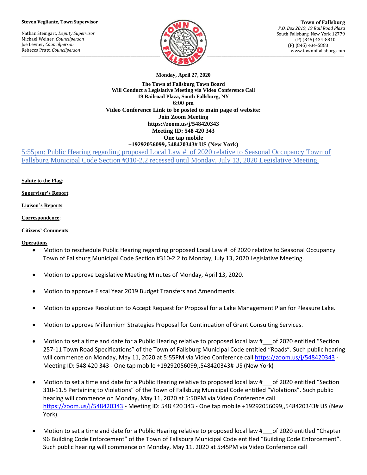#### **Steven Vegliante, Town Supervisor**

Nathan Steingart, *Deputy Supervisor* Michael Weiner, *Councilperson* Joe Levner, *Councilperson* Rebecca Pratt, *Councilperson*



**Town of Fallsburg** *P.O. Box 2019, 19 Rail Road Plaza* South Fallsburg, New York 12779 (P) (845) 434-8810 (F) (845) 434-5883 www.townoffallsburg.com

**Monday, April 27, 2020**

**The Town of Fallsburg Town Board Will Conduct a Legislative Meeting via Video Conference Call 19 Railroad Plaza, South Fallsburg, NY 6:00 pm Video Conference Link to be posted to main page of website: Join Zoom Meeting https://zoom.us/j/548420343 Meeting ID: 548 420 343 One tap mobile +19292056099,,548420343# US (New York)**

5:55pm: Public Hearing regarding proposed Local Law # of 2020 relative to Seasonal Occupancy Town of Fallsburg Municipal Code Section #310-2.2 recessed until Monday, July 13, 2020 Legislative Meeting.

**Salute to the Flag**:

**Supervisor's Report**:

#### **Liaison's Reports**:

**Correspondence**:

### **Citizens' Comments**:

## **Operations**

- Motion to reschedule Public Hearing regarding proposed Local Law # of 2020 relative to Seasonal Occupancy Town of Fallsburg Municipal Code Section #310-2.2 to Monday, July 13, 2020 Legislative Meeting.
- Motion to approve Legislative Meeting Minutes of Monday, April 13, 2020.
- Motion to approve Fiscal Year 2019 Budget Transfers and Amendments.
- Motion to approve Resolution to Accept Request for Proposal for a Lake Management Plan for Pleasure Lake.
- Motion to approve Millennium Strategies Proposal for Continuation of Grant Consulting Services.
- Motion to set a time and date for a Public Hearing relative to proposed local law # of 2020 entitled "Section 257-11 Town Road Specifications" of the Town of Fallsburg Municipal Code entitled "Roads". Such public hearing will commence on Monday, May 11, 2020 at 5:55PM via Video Conference call <https://zoom.us/j/548420343> - Meeting ID: 548 420 343 - One tap mobile +19292056099,,548420343# US (New York)
- Motion to set a time and date for a Public Hearing relative to proposed local law # \_\_\_of 2020 entitled "Section 310-11.5 Pertaining to Violations" of the Town of Fallsburg Municipal Code entitled "Violations". Such public hearing will commence on Monday, May 11, 2020 at 5:50PM via Video Conference call <https://zoom.us/j/548420343> - Meeting ID: 548 420 343 - One tap mobile +19292056099,,548420343# US (New York).
- Motion to set a time and date for a Public Hearing relative to proposed local law # \_\_\_of 2020 entitled "Chapter 96 Building Code Enforcement" of the Town of Fallsburg Municipal Code entitled "Building Code Enforcement". Such public hearing will commence on Monday, May 11, 2020 at 5:45PM via Video Conference call